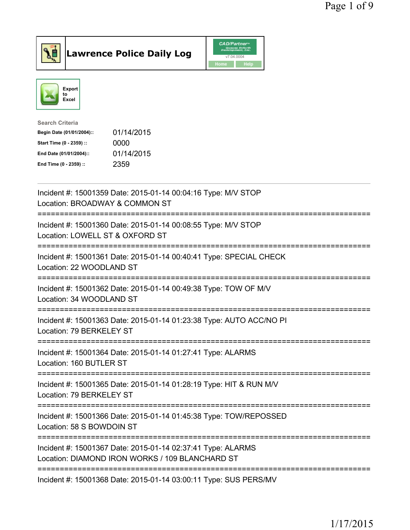



| Search Criteria           |            |
|---------------------------|------------|
| Begin Date (01/01/2004):: | 01/14/2015 |
| Start Time (0 - 2359) ::  | 0000       |
| End Date (01/01/2004)::   | 01/14/2015 |
| End Time (0 - 2359) ::    | 2359       |
|                           |            |

| Incident #: 15001359 Date: 2015-01-14 00:04:16 Type: M/V STOP<br>Location: BROADWAY & COMMON ST                        |
|------------------------------------------------------------------------------------------------------------------------|
| Incident #: 15001360 Date: 2015-01-14 00:08:55 Type: M/V STOP<br>Location: LOWELL ST & OXFORD ST                       |
| Incident #: 15001361 Date: 2015-01-14 00:40:41 Type: SPECIAL CHECK<br>Location: 22 WOODLAND ST<br>-------------------  |
| Incident #: 15001362 Date: 2015-01-14 00:49:38 Type: TOW OF M/V<br>Location: 34 WOODLAND ST<br>-------------------     |
| Incident #: 15001363 Date: 2015-01-14 01:23:38 Type: AUTO ACC/NO PI<br>Location: 79 BERKELEY ST<br>------------------- |
| Incident #: 15001364 Date: 2015-01-14 01:27:41 Type: ALARMS<br>Location: 160 BUTLER ST<br>-----------------            |
| Incident #: 15001365 Date: 2015-01-14 01:28:19 Type: HIT & RUN M/V<br>Location: 79 BERKELEY ST                         |
| Incident #: 15001366 Date: 2015-01-14 01:45:38 Type: TOW/REPOSSED<br>Location: 58 S BOWDOIN ST                         |
| Incident #: 15001367 Date: 2015-01-14 02:37:41 Type: ALARMS<br>Location: DIAMOND IRON WORKS / 109 BLANCHARD ST         |
| Incident #: 15001368 Date: 2015-01-14 03:00:11 Type: SUS PERS/MV                                                       |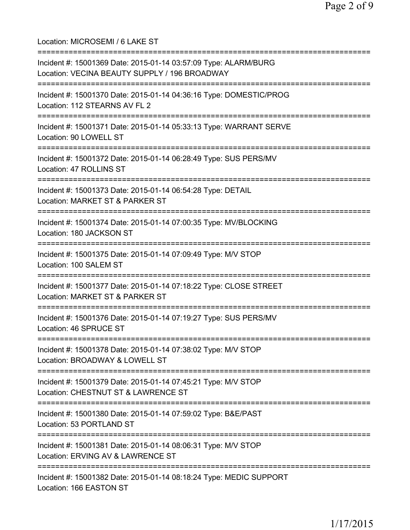Location: MICROSEMI / 6 LAKE ST =========================================================================== Incident #: 15001369 Date: 2015-01-14 03:57:09 Type: ALARM/BURG Location: VECINA BEAUTY SUPPLY / 196 BROADWAY =========================================================================== Incident #: 15001370 Date: 2015-01-14 04:36:16 Type: DOMESTIC/PROG Location: 112 STEARNS AV FL 2 =========================================================================== Incident #: 15001371 Date: 2015-01-14 05:33:13 Type: WARRANT SERVE Location: 90 LOWELL ST =========================================================================== Incident #: 15001372 Date: 2015-01-14 06:28:49 Type: SUS PERS/MV Location: 47 ROLLINS ST =========================================================================== Incident #: 15001373 Date: 2015-01-14 06:54:28 Type: DETAIL Location: MARKET ST & PARKER ST =========================================================================== Incident #: 15001374 Date: 2015-01-14 07:00:35 Type: MV/BLOCKING Location: 180 JACKSON ST =========================================================================== Incident #: 15001375 Date: 2015-01-14 07:09:49 Type: M/V STOP Location: 100 SALEM ST =========================================================================== Incident #: 15001377 Date: 2015-01-14 07:18:22 Type: CLOSE STREET Location: MARKET ST & PARKER ST =========================================================================== Incident #: 15001376 Date: 2015-01-14 07:19:27 Type: SUS PERS/MV Location: 46 SPRUCE ST =========================================================================== Incident #: 15001378 Date: 2015-01-14 07:38:02 Type: M/V STOP Location: BROADWAY & LOWELL ST =========================================================================== Incident #: 15001379 Date: 2015-01-14 07:45:21 Type: M/V STOP Location: CHESTNUT ST & LAWRENCE ST =========================================================================== Incident #: 15001380 Date: 2015-01-14 07:59:02 Type: B&E/PAST Location: 53 PORTLAND ST =========================================================================== Incident #: 15001381 Date: 2015-01-14 08:06:31 Type: M/V STOP Location: ERVING AV & LAWRENCE ST =========================================================================== Incident #: 15001382 Date: 2015-01-14 08:18:24 Type: MEDIC SUPPORT Location: 166 EASTON ST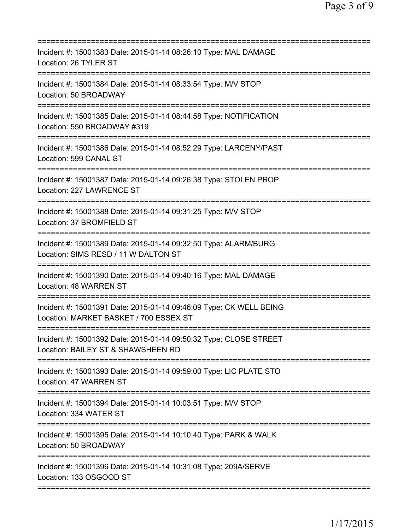| Incident #: 15001383 Date: 2015-01-14 08:26:10 Type: MAL DAMAGE<br>Location: 26 TYLER ST<br>================<br>==================== |
|--------------------------------------------------------------------------------------------------------------------------------------|
| Incident #: 15001384 Date: 2015-01-14 08:33:54 Type: M/V STOP<br>Location: 50 BROADWAY                                               |
| Incident #: 15001385 Date: 2015-01-14 08:44:58 Type: NOTIFICATION<br>Location: 550 BROADWAY #319                                     |
| Incident #: 15001386 Date: 2015-01-14 08:52:29 Type: LARCENY/PAST<br>Location: 599 CANAL ST                                          |
| Incident #: 15001387 Date: 2015-01-14 09:26:38 Type: STOLEN PROP<br>Location: 227 LAWRENCE ST                                        |
| Incident #: 15001388 Date: 2015-01-14 09:31:25 Type: M/V STOP<br>Location: 37 BROMFIELD ST                                           |
| Incident #: 15001389 Date: 2015-01-14 09:32:50 Type: ALARM/BURG<br>Location: SIMS RESD / 11 W DALTON ST                              |
| Incident #: 15001390 Date: 2015-01-14 09:40:16 Type: MAL DAMAGE<br>Location: 48 WARREN ST                                            |
| Incident #: 15001391 Date: 2015-01-14 09:46:09 Type: CK WELL BEING<br>Location: MARKET BASKET / 700 ESSEX ST                         |
| Incident #: 15001392 Date: 2015-01-14 09:50:32 Type: CLOSE STREET<br>Location: BAILEY ST & SHAWSHEEN RD                              |
| Incident #: 15001393 Date: 2015-01-14 09:59:00 Type: LIC PLATE STO<br>Location: 47 WARREN ST                                         |
| Incident #: 15001394 Date: 2015-01-14 10:03:51 Type: M/V STOP<br>Location: 334 WATER ST                                              |
| Incident #: 15001395 Date: 2015-01-14 10:10:40 Type: PARK & WALK<br>Location: 50 BROADWAY                                            |
| Incident #: 15001396 Date: 2015-01-14 10:31:08 Type: 209A/SERVE<br>Location: 133 OSGOOD ST                                           |
|                                                                                                                                      |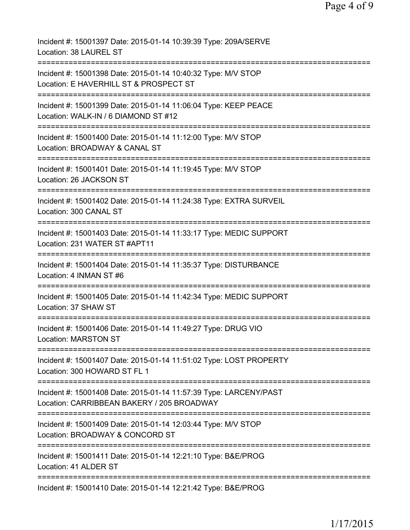| Incident #: 15001397 Date: 2015-01-14 10:39:39 Type: 209A/SERVE<br>Location: 38 LAUREL ST                                             |
|---------------------------------------------------------------------------------------------------------------------------------------|
| Incident #: 15001398 Date: 2015-01-14 10:40:32 Type: M/V STOP<br>Location: E HAVERHILL ST & PROSPECT ST                               |
| Incident #: 15001399 Date: 2015-01-14 11:06:04 Type: KEEP PEACE<br>Location: WALK-IN / 6 DIAMOND ST #12<br>=========================  |
| Incident #: 15001400 Date: 2015-01-14 11:12:00 Type: M/V STOP<br>Location: BROADWAY & CANAL ST                                        |
| Incident #: 15001401 Date: 2015-01-14 11:19:45 Type: M/V STOP<br>Location: 26 JACKSON ST                                              |
| Incident #: 15001402 Date: 2015-01-14 11:24:38 Type: EXTRA SURVEIL<br>Location: 300 CANAL ST                                          |
| Incident #: 15001403 Date: 2015-01-14 11:33:17 Type: MEDIC SUPPORT<br>Location: 231 WATER ST #APT11                                   |
| Incident #: 15001404 Date: 2015-01-14 11:35:37 Type: DISTURBANCE<br>Location: 4 INMAN ST #6                                           |
| Incident #: 15001405 Date: 2015-01-14 11:42:34 Type: MEDIC SUPPORT<br>Location: 37 SHAW ST                                            |
| Incident #: 15001406 Date: 2015-01-14 11:49:27 Type: DRUG VIO<br><b>Location: MARSTON ST</b>                                          |
| Incident #: 15001407 Date: 2015-01-14 11:51:02 Type: LOST PROPERTY<br>Location: 300 HOWARD ST FL 1                                    |
| Incident #: 15001408 Date: 2015-01-14 11:57:39 Type: LARCENY/PAST<br>Location: CARRIBBEAN BAKERY / 205 BROADWAY                       |
| =================================<br>Incident #: 15001409 Date: 2015-01-14 12:03:44 Type: M/V STOP<br>Location: BROADWAY & CONCORD ST |
| Incident #: 15001411 Date: 2015-01-14 12:21:10 Type: B&E/PROG<br>Location: 41 ALDER ST                                                |
| Incident #: 15001410 Date: 2015-01-14 12:21:42 Type: B&E/PROG                                                                         |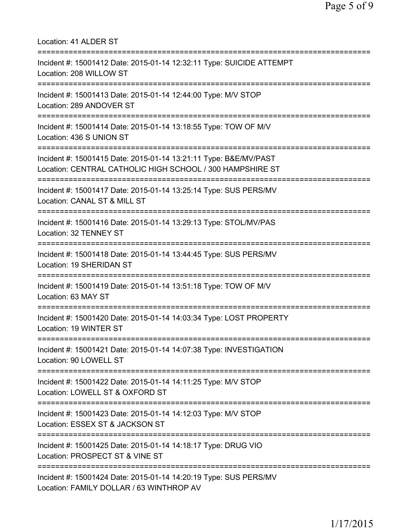| Location: 41 ALDER ST                                                                                                              |
|------------------------------------------------------------------------------------------------------------------------------------|
| Incident #: 15001412 Date: 2015-01-14 12:32:11 Type: SUICIDE ATTEMPT<br>Location: 208 WILLOW ST                                    |
| Incident #: 15001413 Date: 2015-01-14 12:44:00 Type: M/V STOP<br>Location: 289 ANDOVER ST<br>==============================        |
| Incident #: 15001414 Date: 2015-01-14 13:18:55 Type: TOW OF M/V<br>Location: 436 S UNION ST<br>=================================== |
| Incident #: 15001415 Date: 2015-01-14 13:21:11 Type: B&E/MV/PAST<br>Location: CENTRAL CATHOLIC HIGH SCHOOL / 300 HAMPSHIRE ST      |
| Incident #: 15001417 Date: 2015-01-14 13:25:14 Type: SUS PERS/MV<br>Location: CANAL ST & MILL ST                                   |
| Incident #: 15001416 Date: 2015-01-14 13:29:13 Type: STOL/MV/PAS<br>Location: 32 TENNEY ST                                         |
| Incident #: 15001418 Date: 2015-01-14 13:44:45 Type: SUS PERS/MV<br>Location: 19 SHERIDAN ST                                       |
| Incident #: 15001419 Date: 2015-01-14 13:51:18 Type: TOW OF M/V<br>Location: 63 MAY ST                                             |
| Incident #: 15001420 Date: 2015-01-14 14:03:34 Type: LOST PROPERTY<br>Location: 19 WINTER ST                                       |
| Incident #: 15001421 Date: 2015-01-14 14:07:38 Type: INVESTIGATION<br>Location: 90 LOWELL ST                                       |
| Incident #: 15001422 Date: 2015-01-14 14:11:25 Type: M/V STOP<br>Location: LOWELL ST & OXFORD ST                                   |
| Incident #: 15001423 Date: 2015-01-14 14:12:03 Type: M/V STOP<br>Location: ESSEX ST & JACKSON ST                                   |
| Incident #: 15001425 Date: 2015-01-14 14:18:17 Type: DRUG VIO<br>Location: PROSPECT ST & VINE ST                                   |
| Incident #: 15001424 Date: 2015-01-14 14:20:19 Type: SUS PERS/MV<br>Location: FAMILY DOLLAR / 63 WINTHROP AV                       |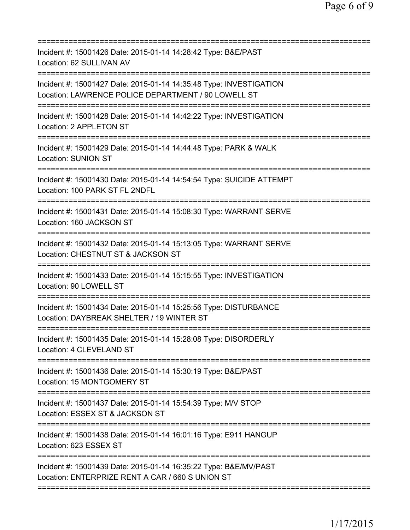| Incident #: 15001426 Date: 2015-01-14 14:28:42 Type: B&E/PAST<br>Location: 62 SULLIVAN AV                                             |
|---------------------------------------------------------------------------------------------------------------------------------------|
| Incident #: 15001427 Date: 2015-01-14 14:35:48 Type: INVESTIGATION<br>Location: LAWRENCE POLICE DEPARTMENT / 90 LOWELL ST             |
| Incident #: 15001428 Date: 2015-01-14 14:42:22 Type: INVESTIGATION<br>Location: 2 APPLETON ST                                         |
| Incident #: 15001429 Date: 2015-01-14 14:44:48 Type: PARK & WALK<br><b>Location: SUNION ST</b>                                        |
| Incident #: 15001430 Date: 2015-01-14 14:54:54 Type: SUICIDE ATTEMPT<br>Location: 100 PARK ST FL 2NDFL                                |
| Incident #: 15001431 Date: 2015-01-14 15:08:30 Type: WARRANT SERVE<br>Location: 160 JACKSON ST                                        |
| Incident #: 15001432 Date: 2015-01-14 15:13:05 Type: WARRANT SERVE<br>Location: CHESTNUT ST & JACKSON ST<br>========================= |
| Incident #: 15001433 Date: 2015-01-14 15:15:55 Type: INVESTIGATION<br>Location: 90 LOWELL ST                                          |
| Incident #: 15001434 Date: 2015-01-14 15:25:56 Type: DISTURBANCE<br>Location: DAYBREAK SHELTER / 19 WINTER ST                         |
| Incident #: 15001435 Date: 2015-01-14 15:28:08 Type: DISORDERLY<br>Location: 4 CLEVELAND ST<br>===================================    |
| Incident #: 15001436 Date: 2015-01-14 15:30:19 Type: B&E/PAST<br>Location: 15 MONTGOMERY ST                                           |
| Incident #: 15001437 Date: 2015-01-14 15:54:39 Type: M/V STOP<br>Location: ESSEX ST & JACKSON ST                                      |
| Incident #: 15001438 Date: 2015-01-14 16:01:16 Type: E911 HANGUP<br>Location: 623 ESSEX ST                                            |
| Incident #: 15001439 Date: 2015-01-14 16:35:22 Type: B&E/MV/PAST<br>Location: ENTERPRIZE RENT A CAR / 660 S UNION ST                  |
|                                                                                                                                       |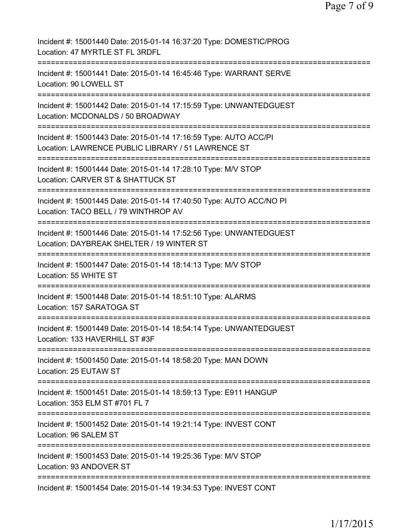| Incident #: 15001440 Date: 2015-01-14 16:37:20 Type: DOMESTIC/PROG<br>Location: 47 MYRTLE ST FL 3RDFL                                     |
|-------------------------------------------------------------------------------------------------------------------------------------------|
| Incident #: 15001441 Date: 2015-01-14 16:45:46 Type: WARRANT SERVE<br>Location: 90 LOWELL ST                                              |
| Incident #: 15001442 Date: 2015-01-14 17:15:59 Type: UNWANTEDGUEST<br>Location: MCDONALDS / 50 BROADWAY                                   |
| Incident #: 15001443 Date: 2015-01-14 17:16:59 Type: AUTO ACC/PI<br>Location: LAWRENCE PUBLIC LIBRARY / 51 LAWRENCE ST                    |
| Incident #: 15001444 Date: 2015-01-14 17:28:10 Type: M/V STOP<br>Location: CARVER ST & SHATTUCK ST                                        |
| Incident #: 15001445 Date: 2015-01-14 17:40:50 Type: AUTO ACC/NO PI<br>Location: TACO BELL / 79 WINTHROP AV                               |
| Incident #: 15001446 Date: 2015-01-14 17:52:56 Type: UNWANTEDGUEST<br>Location: DAYBREAK SHELTER / 19 WINTER ST                           |
| Incident #: 15001447 Date: 2015-01-14 18:14:13 Type: M/V STOP<br>Location: 55 WHITE ST                                                    |
| Incident #: 15001448 Date: 2015-01-14 18:51:10 Type: ALARMS<br>Location: 157 SARATOGA ST                                                  |
| Incident #: 15001449 Date: 2015-01-14 18:54:14 Type: UNWANTEDGUEST<br>Location: 133 HAVERHILL ST #3F                                      |
| Incident #: 15001450 Date: 2015-01-14 18:58:20 Type: MAN DOWN<br>Location: 25 EUTAW ST                                                    |
| ===================================<br>Incident #: 15001451 Date: 2015-01-14 18:59:13 Type: E911 HANGUP<br>Location: 353 ELM ST #701 FL 7 |
| Incident #: 15001452 Date: 2015-01-14 19:21:14 Type: INVEST CONT<br>Location: 96 SALEM ST                                                 |
| Incident #: 15001453 Date: 2015-01-14 19:25:36 Type: M/V STOP<br>Location: 93 ANDOVER ST                                                  |
| Incident #: 15001454 Date: 2015-01-14 19:34:53 Type: INVEST CONT                                                                          |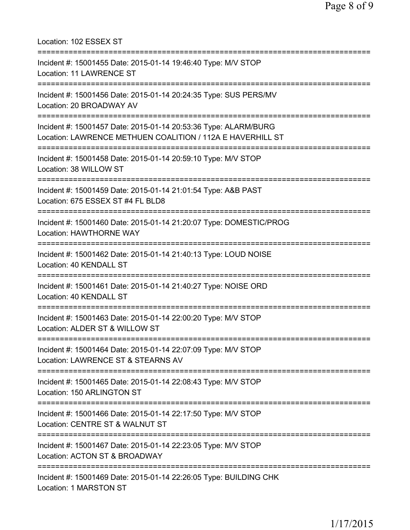Location: 102 ESSEX ST =========================================================================== Incident #: 15001455 Date: 2015-01-14 19:46:40 Type: M/V STOP Location: 11 LAWRENCE ST =========================================================================== Incident #: 15001456 Date: 2015-01-14 20:24:35 Type: SUS PERS/MV Location: 20 BROADWAY AV =========================================================================== Incident #: 15001457 Date: 2015-01-14 20:53:36 Type: ALARM/BURG Location: LAWRENCE METHUEN COALITION / 112A E HAVERHILL ST =========================================================================== Incident #: 15001458 Date: 2015-01-14 20:59:10 Type: M/V STOP Location: 38 WILLOW ST =========================================================================== Incident #: 15001459 Date: 2015-01-14 21:01:54 Type: A&B PAST Location: 675 ESSEX ST #4 FL BLD8 =========================================================================== Incident #: 15001460 Date: 2015-01-14 21:20:07 Type: DOMESTIC/PROG Location: HAWTHORNE WAY =========================================================================== Incident #: 15001462 Date: 2015-01-14 21:40:13 Type: LOUD NOISE Location: 40 KENDALL ST =========================================================================== Incident #: 15001461 Date: 2015-01-14 21:40:27 Type: NOISE ORD Location: 40 KENDALL ST =========================================================================== Incident #: 15001463 Date: 2015-01-14 22:00:20 Type: M/V STOP Location: ALDER ST & WILLOW ST =========================================================================== Incident #: 15001464 Date: 2015-01-14 22:07:09 Type: M/V STOP Location: LAWRENCE ST & STEARNS AV =========================================================================== Incident #: 15001465 Date: 2015-01-14 22:08:43 Type: M/V STOP Location: 150 ARLINGTON ST =========================================================================== Incident #: 15001466 Date: 2015-01-14 22:17:50 Type: M/V STOP Location: CENTRE ST & WALNUT ST =========================================================================== Incident #: 15001467 Date: 2015-01-14 22:23:05 Type: M/V STOP Location: ACTON ST & BROADWAY =========================================================================== Incident #: 15001469 Date: 2015-01-14 22:26:05 Type: BUILDING CHK Location: 1 MARSTON ST